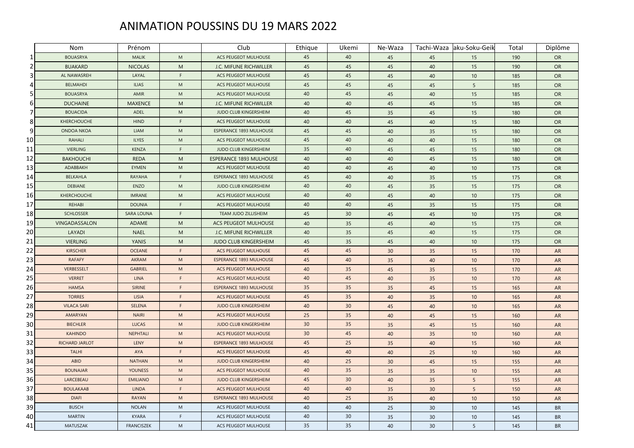## ANIMATION POUSSINS DU 19 MARS 2022

|    | Nom                | Prénom            |                                   | Club                           | Ethique | Ukemi | Ne-Waza |    | Tachi-Waza aku-Soku-Geik | Total | Diplôme   |
|----|--------------------|-------------------|-----------------------------------|--------------------------------|---------|-------|---------|----|--------------------------|-------|-----------|
| 1  | <b>BOUASRYA</b>    | <b>MALIK</b>      | M                                 | ACS PEUGEOT MULHOUSE           | 45      | 40    | 45      | 45 | 15                       | 190   | <b>OR</b> |
|    | <b>BUAKARD</b>     | <b>NICOLAS</b>    | M                                 | J.C. MIFUNE RICHWILLER         | 45      | 45    | 45      | 40 | 15                       | 190   | <b>OR</b> |
| 3  | AL NAWASREH        | LAYAL             | $\mathsf F$                       | ACS PEUGEOT MULHOUSE           | 45      | 45    | 45      | 40 | 10                       | 185   | <b>OR</b> |
|    | <b>BELMAHDI</b>    | <b>ILIAS</b>      | M                                 | ACS PEUGEOT MULHOUSE           | 45      | 45    | 45      | 45 | 5                        | 185   | <b>OR</b> |
| 5  | <b>BOUASRYA</b>    | AMIR              | ${\sf M}$                         | ACS PEUGEOT MULHOUSE           | 40      | 45    | 45      | 40 | 15                       | 185   | <b>OR</b> |
| 6  | <b>DUCHAINE</b>    | <b>MAXENCE</b>    | M                                 | J.C. MIFUNE RICHWILLER         | 40      | 40    | 45      | 45 | 15                       | 185   | <b>OR</b> |
| 7  | <b>BOUACIDA</b>    | <b>ADEL</b>       | ${\sf M}$                         | JUDO CLUB KINGERSHEIM          | 40      | 45    | 35      | 45 | 15                       | 180   | <b>OR</b> |
| 8  | <b>KHERCHOUCHE</b> | <b>HIND</b>       | F                                 | ACS PEUGEOT MULHOUSE           | 40      | 40    | 45      | 40 | 15                       | 180   | <b>OR</b> |
| 9  | <b>ONDOA NKOA</b>  | LIAM              | ${\sf M}$                         | <b>ESPERANCE 1893 MULHOUSE</b> | 45      | 45    | 40      | 35 | 15                       | 180   | <b>OR</b> |
| 10 | RAHALI             | <b>ILYES</b>      | ${\sf M}$                         | ACS PEUGEOT MULHOUSE           | 45      | 40    | 40      | 40 | 15                       | 180   | <b>OR</b> |
| 11 | <b>VIERLING</b>    | <b>KENZA</b>      | F                                 | JUDO CLUB KINGERSHEIM          | 35      | 40    | 45      | 45 | 15                       | 180   | <b>OR</b> |
| 12 | <b>BAKHOUCHI</b>   | <b>REDA</b>       | M                                 | <b>ESPERANCE 1893 MULHOUSE</b> | 40      | 40    | 40      | 45 | 15                       | 180   | <b>OR</b> |
| 13 | ADABBAKH           | EYMEN             | ${\sf M}$                         | ACS PEUGEOT MULHOUSE           | 40      | 40    | 45      | 40 | 10                       | 175   | <b>OR</b> |
| 14 | <b>BELKAHLA</b>    | <b>RAYAHA</b>     | F                                 | <b>ESPERANCE 1893 MULHOUSE</b> | 45      | 40    | 40      | 35 | 15                       | 175   | <b>OR</b> |
| 15 | <b>DEBIANE</b>     | ENZO              | $\mathsf{M}% _{H}=\mathsf{M}_{H}$ | JUDO CLUB KINGERSHEIM          | 40      | 40    | 45      | 35 | 15                       | 175   | <b>OR</b> |
| 16 | KHERCHOUCHE        | <b>IMRANE</b>     | ${\sf M}$                         | ACS PEUGEOT MULHOUSE           | 40      | 40    | 45      | 40 | 10                       | 175   | <b>OR</b> |
| 17 | REHABI             | <b>DOUNIA</b>     | F                                 | ACS PEUGEOT MULHOUSE           | 40      | 40    | 45      | 35 | 15                       | 175   | <b>OR</b> |
| 18 | <b>SCHLOSSER</b>   | <b>SARA LOUNA</b> | F                                 | TEAM JUDO ZILLISHEIM           | 45      | 30    | 45      | 45 | 10                       | 175   | <b>OR</b> |
| 19 | VINGADASSALON      | <b>ADAME</b>      | ${\sf M}$                         | <b>ACS PEUGEOT MULHOUSE</b>    | 40      | 35    | 45      | 40 | 15                       | 175   | <b>OR</b> |
| 20 | LAYADI             | <b>NAEL</b>       | M                                 | J.C. MIFUNE RICHWILLER         | 40      | 35    | 45      | 40 | 15                       | 175   | <b>OR</b> |
| 21 | <b>VIERLING</b>    | YANIS             | M                                 | <b>JUDO CLUB KINGERSHEIM</b>   | 45      | 35    | 45      | 40 | 10                       | 175   | <b>OR</b> |
| 22 | <b>KIRSCHER</b>    | <b>OCEANE</b>     | F                                 | ACS PEUGEOT MULHOUSE           | 45      | 45    | 30      | 35 | 15                       | 170   | AR        |
| 23 | <b>RAFAFY</b>      | AKRAM             | ${\sf M}$                         | <b>ESPERANCE 1893 MULHOUSE</b> | 45      | 40    | 35      | 40 | 10                       | 170   | <b>AR</b> |
| 24 | VERBESSELT         | <b>GABRIEL</b>    | ${\sf M}$                         | ACS PEUGEOT MULHOUSE           | 40      | 35    | 45      | 35 | 15                       | 170   | AR        |
| 25 | <b>VERRET</b>      | <b>LINA</b>       | F                                 | ACS PEUGEOT MULHOUSE           | 40      | 45    | 40      | 35 | 10                       | 170   | <b>AR</b> |
| 26 | <b>HAMSA</b>       | <b>SIRINE</b>     | F                                 | <b>ESPERANCE 1893 MULHOUSE</b> | 35      | 35    | 35      | 45 | 15                       | 165   | <b>AR</b> |
| 27 | <b>TORRES</b>      | <b>LISIA</b>      | $\mathsf F$                       | ACS PEUGEOT MULHOUSE           | 45      | 35    | 40      | 35 | 10                       | 165   | <b>AR</b> |
| 28 | <b>VILACA SARI</b> | <b>SELENA</b>     | F                                 | <b>JUDO CLUB KINGERSHEIM</b>   | 40      | 30    | 45      | 40 | 10                       | 165   | <b>AR</b> |
| 29 | AMARYAN            | <b>NAIRI</b>      | ${\sf M}$                         | ACS PEUGEOT MULHOUSE           | 25      | 35    | 40      | 45 | 15                       | 160   | AR        |
| 30 | <b>BIECHLER</b>    | <b>LUCAS</b>      | M                                 | <b>JUDO CLUB KINGERSHEIM</b>   | 30      | 35    | 35      | 45 | 15                       | 160   | <b>AR</b> |
| 31 | <b>KAHINDO</b>     | NEPHTALI          | M                                 | ACS PEUGEOT MULHOUSE           | 30      | 45    | 40      | 35 | 10                       | 160   | <b>AR</b> |
| 32 | RICHARD JARLOT     | LENY              | ${\sf M}$                         | <b>ESPERANCE 1893 MULHOUSE</b> | 45      | 25    | 35      | 40 | 15                       | 160   | <b>AR</b> |
| 33 | <b>TALHI</b>       | AYA               | F                                 | <b>ACS PEUGEOT MULHOUSE</b>    | 45      | 40    | 40      | 25 | 10                       | 160   | <b>AR</b> |
| 34 | ABID               | <b>NATHAN</b>     | ${\sf M}$                         | JUDO CLUB KINGERSHEIM          | 40      | 25    | 30      | 45 | 15                       | 155   | AR        |
| 35 | <b>BOUNAJAR</b>    | <b>YOUNESS</b>    | ${\sf M}$                         | ACS PEUGEOT MULHOUSE           | 40      | 35    | 35      | 35 | 10                       | 155   | <b>AR</b> |
| 36 | LARCEBEAU          | <b>EMILIANO</b>   | ${\sf M}$                         | JUDO CLUB KINGERSHEIM          | 45      | 30    | 40      | 35 | 5                        | 155   | <b>AR</b> |
| 37 | <b>BOULAKAAB</b>   | <b>LINDA</b>      | F                                 | ACS PEUGEOT MULHOUSE           | 40      | 40    | 35      | 30 | $\overline{5}$           | 150   | AR        |
| 38 | <b>DIAFI</b>       | <b>RAYAN</b>      | ${\sf M}$                         | <b>ESPERANCE 1893 MULHOUSE</b> | 40      | 25    | 35      | 40 | 10                       | 150   | <b>AR</b> |
| 39 | <b>BUSCH</b>       | <b>NOLAN</b>      | M                                 | ACS PEUGEOT MULHOUSE           | 40      | 40    | 25      | 30 | 10                       | 145   | <b>BR</b> |
| 40 | <b>MARTIN</b>      | <b>KYARA</b>      | F                                 | ACS PEUGEOT MULHOUSE           | 40      | 30    | 35      | 30 | 10                       | 145   | <b>BR</b> |
| 41 | <b>MATUSZAK</b>    | <b>FRANCISZEK</b> | M                                 | ACS PEUGEOT MULHOUSE           | 35      | 35    | 40      | 30 | 5                        | 145   | <b>BR</b> |